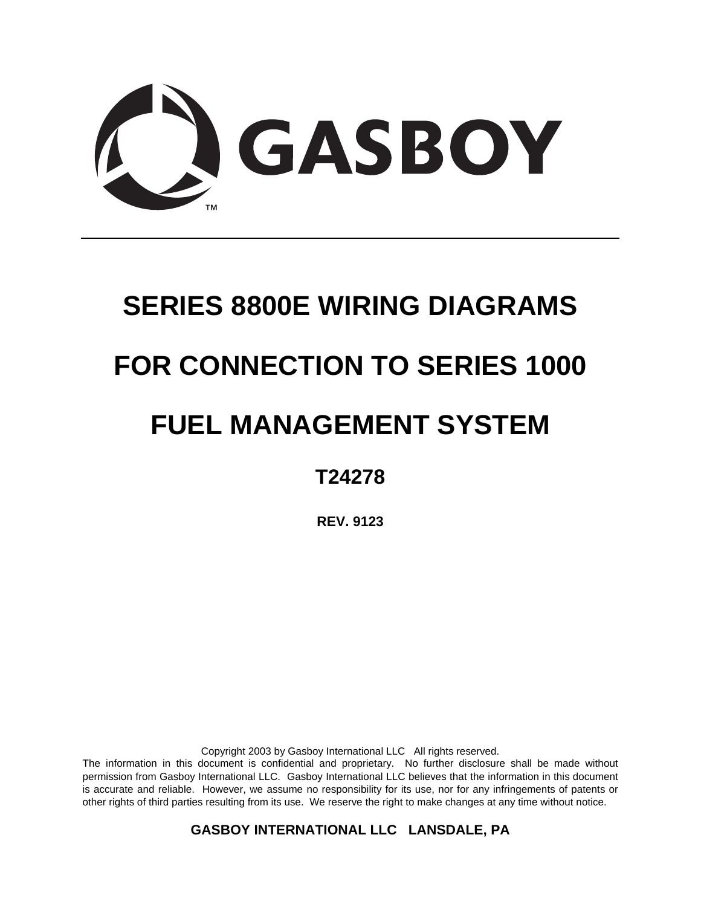

# **SERIES 8800E WIRING DIAGRAMS FOR CONNECTION TO SERIES 1000 FUEL MANAGEMENT SYSTEM**

# **T24278**

**REV. 9123** 

Copyright 2003 by Gasboy International LLC All rights reserved.

The information in this document is confidential and proprietary. No further disclosure shall be made without permission from Gasboy International LLC. Gasboy International LLC believes that the information in this document is accurate and reliable. However, we assume no responsibility for its use, nor for any infringements of patents or other rights of third parties resulting from its use. We reserve the right to make changes at any time without notice.

**GASBOY INTERNATIONAL LLC LANSDALE, PA**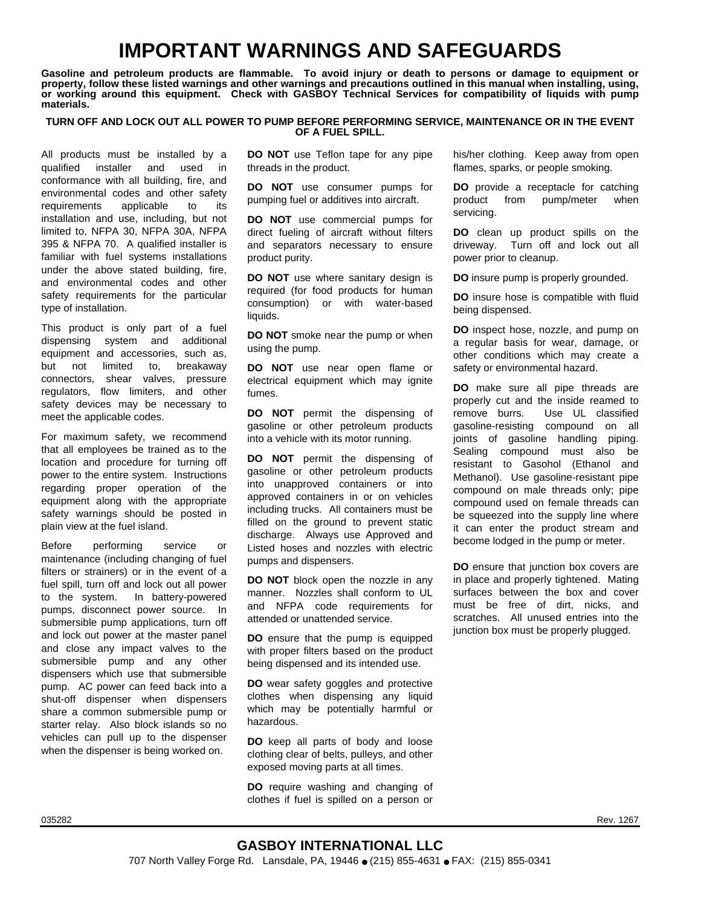# **IMPORTANT WARNINGS AND SAFEGUARDS**

**Gasoline and petroleum products are flammable. To avoid injury or death to persons or damage to equipment or property, follow these listed warnings and other warnings and precautions outlined in this manual when installing, using, or working around this equipment. Check with GASBOY Technical Services for compatibility of liquids with pump materials.** 

#### **TURN OFF AND LOCK OUT ALL POWER TO PUMP BEFORE PERFORMING SERVICE, MAINTENANCE OR IN THE EVENT OF A FUEL SPILL.**

All products must be installed by a qualified installer and used in conformance with all building, fire, and environmental codes and other safety requirements applicable to its installation and use, including, but not limited to, NFPA 30, NFPA 30A, NFPA 395 & NFPA 70. A qualified installer is familiar with fuel systems installations under the above stated building, fire, and environmental codes and other safety requirements for the particular type of installation.

This product is only part of a fuel dispensing system and additional equipment and accessories, such as, but not limited to, breakaway connectors, shear valves, pressure regulators, flow limiters, and other safety devices may be necessary to meet the applicable codes.

For maximum safety, we recommend that all employees be trained as to the location and procedure for turning off power to the entire system. Instructions regarding proper operation of the equipment along with the appropriate safety warnings should be posted in plain view at the fuel island.

Before performing service or maintenance (including changing of fuel filters or strainers) or in the event of a fuel spill, turn off and lock out all power to the system. In battery-powered pumps, disconnect power source. In submersible pump applications, turn off and lock out power at the master panel and close any impact valves to the submersible pump and any other dispensers which use that submersible pump. AC power can feed back into a shut-off dispenser when dispensers share a common submersible pump or starter relay. Also block islands so no vehicles can pull up to the dispenser when the dispenser is being worked on.

**DO NOT** use Teflon tape for any pipe threads in the product.

**DO NOT** use consumer pumps for pumping fuel or additives into aircraft.

**DO NOT** use commercial pumps for direct fueling of aircraft without filters and separators necessary to ensure product purity.

**DO NOT** use where sanitary design is required (for food products for human consumption) or with water-based liquids.

**DO NOT** smoke near the pump or when using the pump.

**DO NOT** use near open flame or electrical equipment which may ignite fumes.

**DO NOT** permit the dispensing of gasoline or other petroleum products into a vehicle with its motor running.

**DO NOT** permit the dispensing of gasoline or other petroleum products into unapproved containers or into approved containers in or on vehicles including trucks. All containers must be filled on the ground to prevent static discharge. Always use Approved and Listed hoses and nozzles with electric pumps and dispensers.

**DO NOT** block open the nozzle in any manner. Nozzles shall conform to UL and NFPA code requirements for attended or unattended service.

**DO** ensure that the pump is equipped with proper filters based on the product being dispensed and its intended use.

**DO** wear safety goggles and protective clothes when dispensing any liquid which may be potentially harmful or hazardous.

**DO** keep all parts of body and loose clothing clear of belts, pulleys, and other exposed moving parts at all times.

**DO** require washing and changing of clothes if fuel is spilled on a person or his/her clothing. Keep away from open flames, sparks, or people smoking.

**DO** provide a receptacle for catching product from pump/meter when servicing.

**DO** clean up product spills on the driveway. Turn off and lock out all power prior to cleanup.

**DO** insure pump is properly grounded.

**DO** insure hose is compatible with fluid being dispensed.

**DO** inspect hose, nozzle, and pump on a regular basis for wear, damage, or other conditions which may create a safety or environmental hazard.

**DO** make sure all pipe threads are properly cut and the inside reamed to remove burrs. Use UL classified gasoline-resisting compound on all joints of gasoline handling piping. Sealing compound must also be resistant to Gasohol (Ethanol and Methanol). Use gasoline-resistant pipe compound on male threads only; pipe compound used on female threads can be squeezed into the supply line where it can enter the product stream and become lodged in the pump or meter.

**DO** ensure that junction box covers are in place and properly tightened. Mating surfaces between the box and cover must be free of dirt, nicks, and scratches. All unused entries into the junction box must be properly plugged.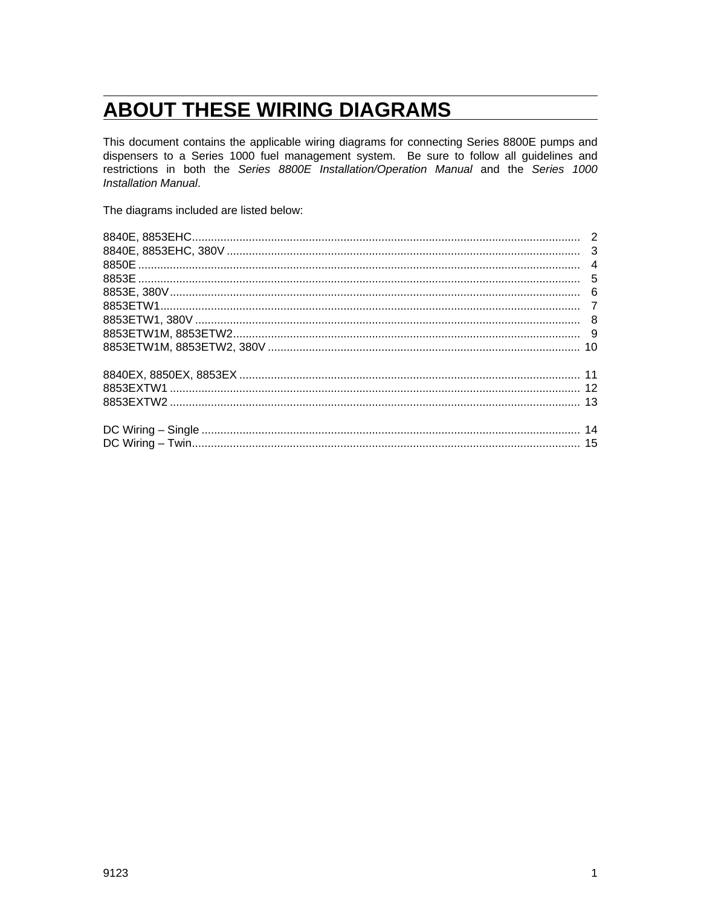# **ABOUT THESE WIRING DIAGRAMS**

This document contains the applicable wiring diagrams for connecting Series 8800E pumps and dispensers to a Series 1000 fuel management system. Be sure to follow all guidelines and restrictions in both the Series 8800E Installation/Operation Manual and the Series 1000 Installation Manual.

The diagrams included are listed below: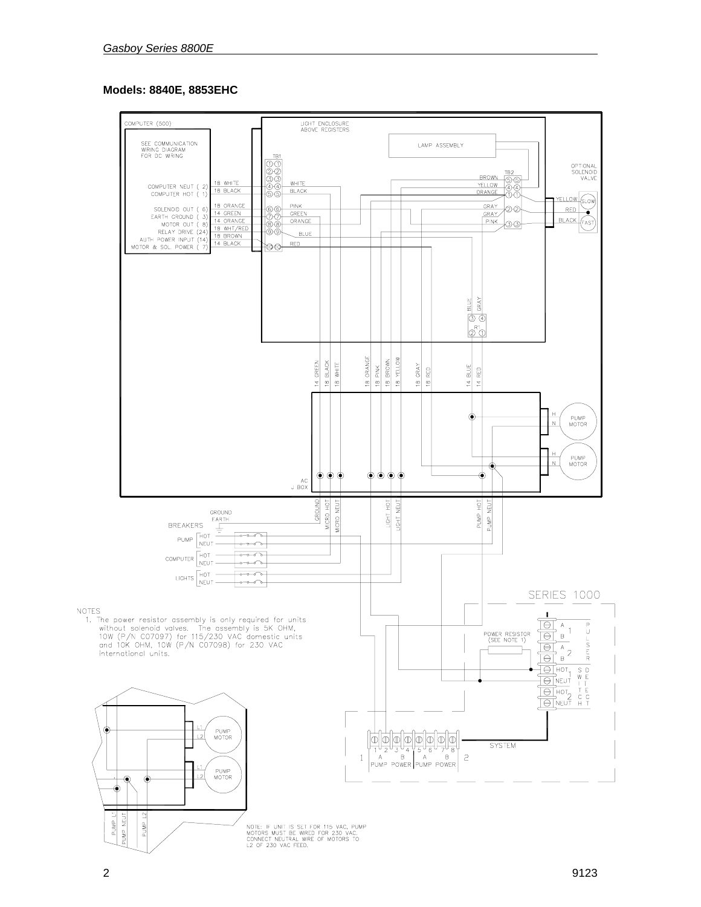## **Models: 8840E, 8853EHC**



NOTE: IF UNIT IS SET FOR 115 VAC, PUMP<br>MOTORS MUST BE WIRED FOR 230 VAC.<br>CONNECT NEUTRAL WIRE OF MOTORS TO<br>L2 OF 230 VAC FEED.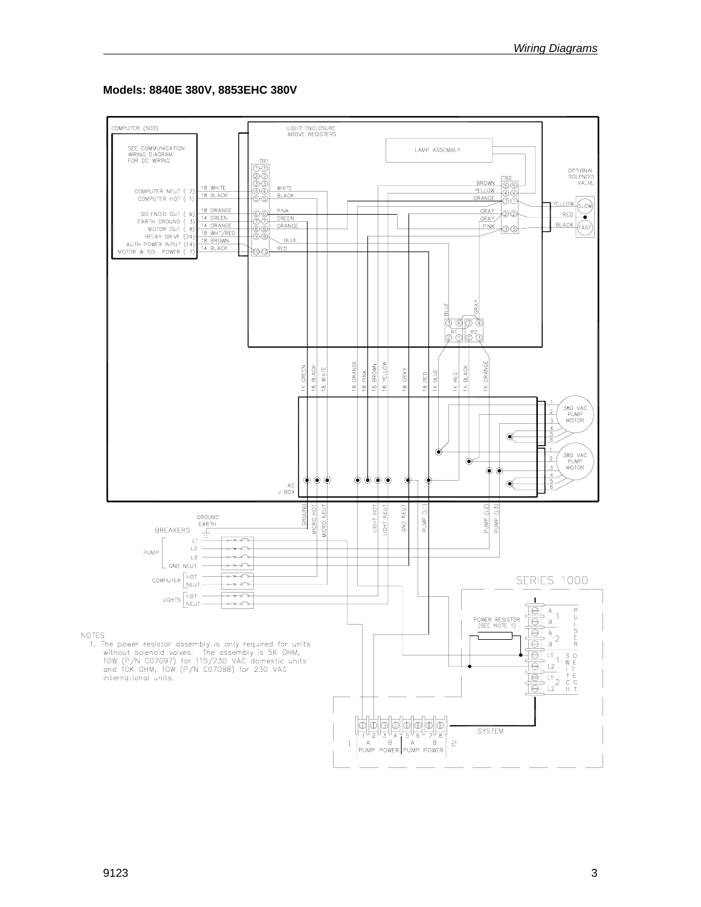#### **Models: 8840E 380V, 8853EHC 380V**

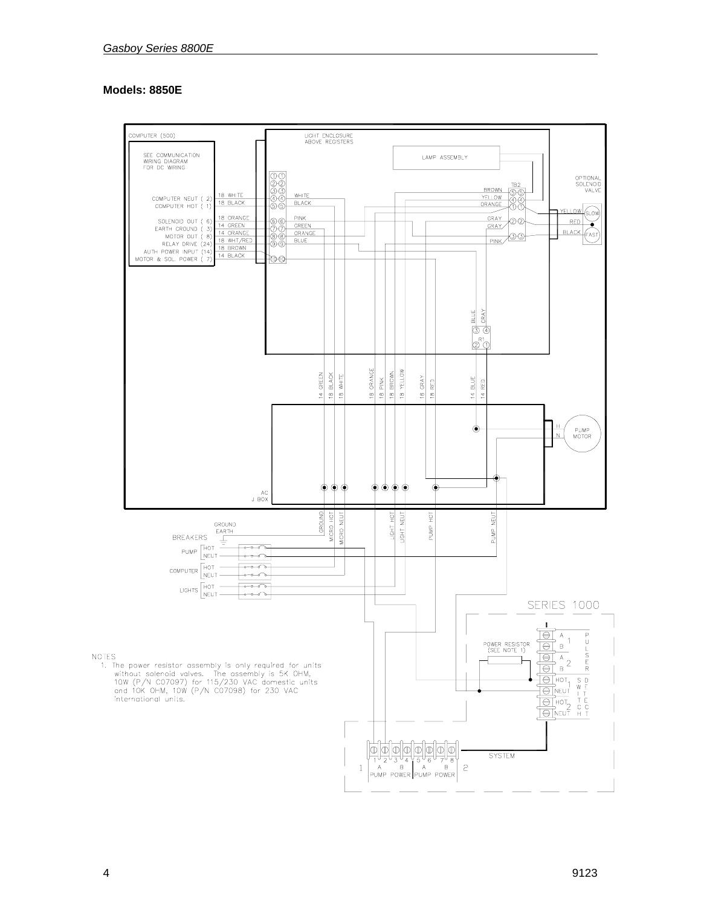#### **Models: 8850E**



 $4 \t\t 9123$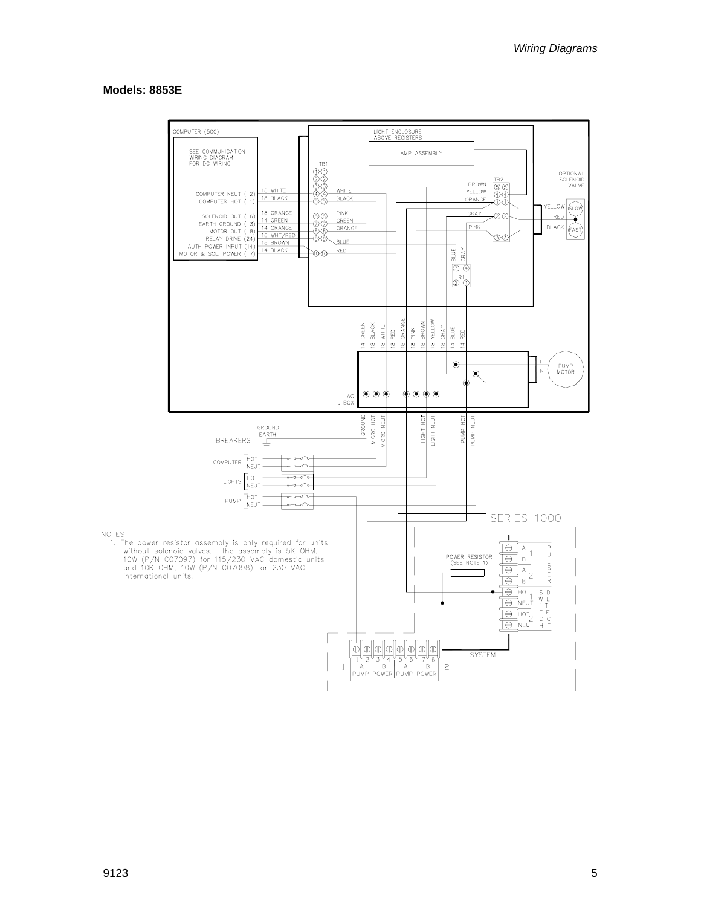#### Models: 8853E

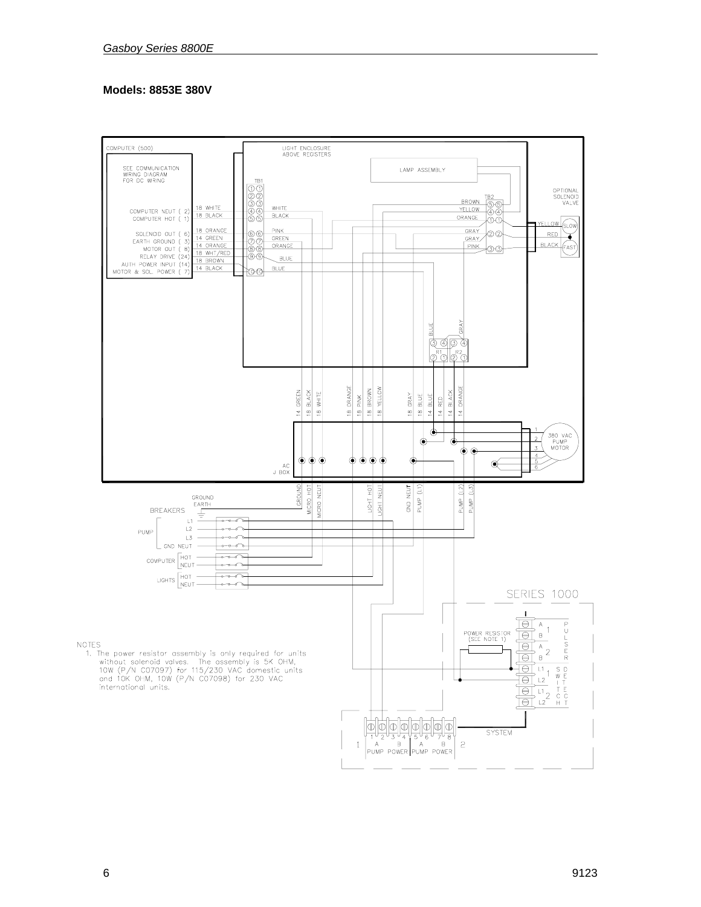#### **Models: 8853E 380V**

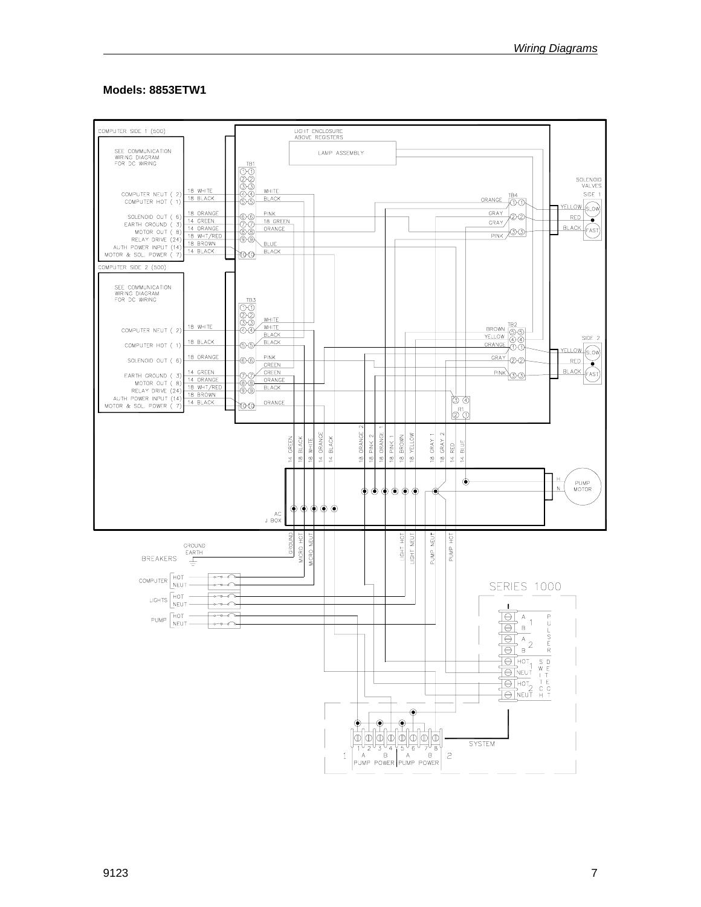#### Models: 8853ETW1

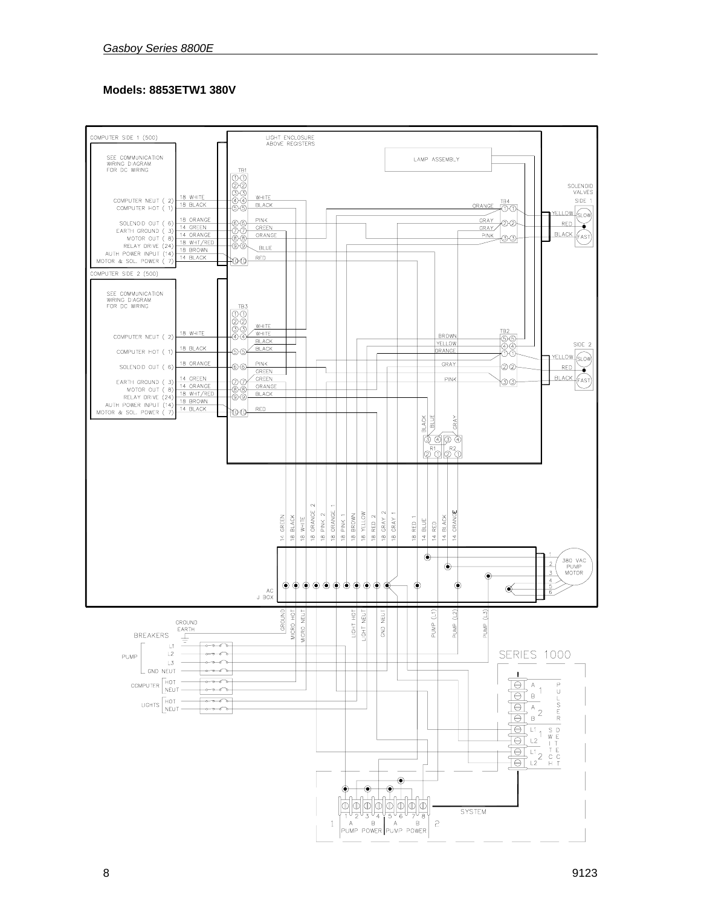## **Models: 8853ETW1 380V**

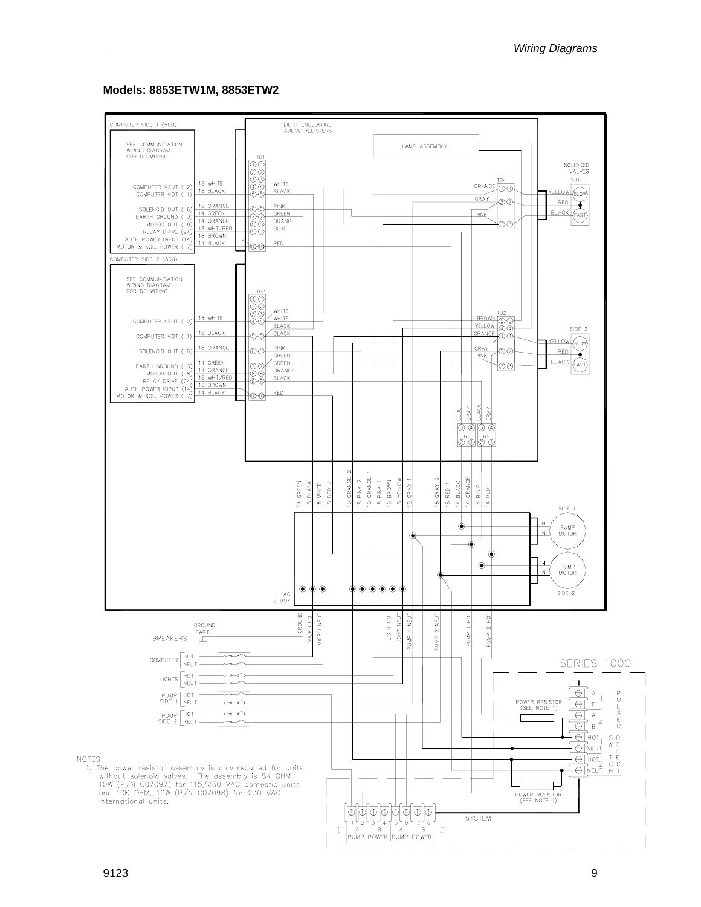#### **Models: 8853ETW1M, 8853ETW2**

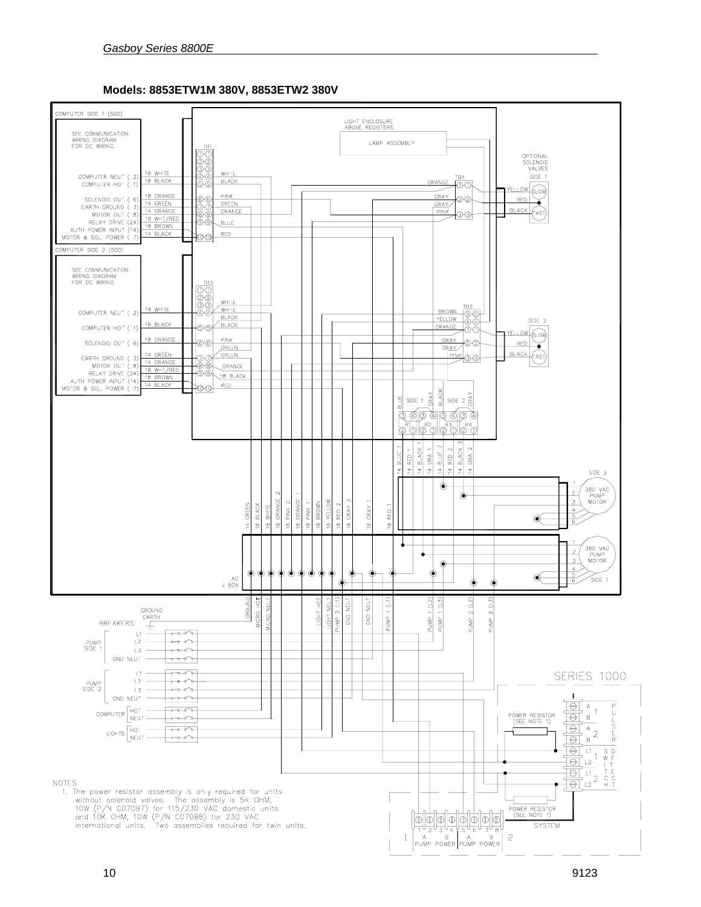

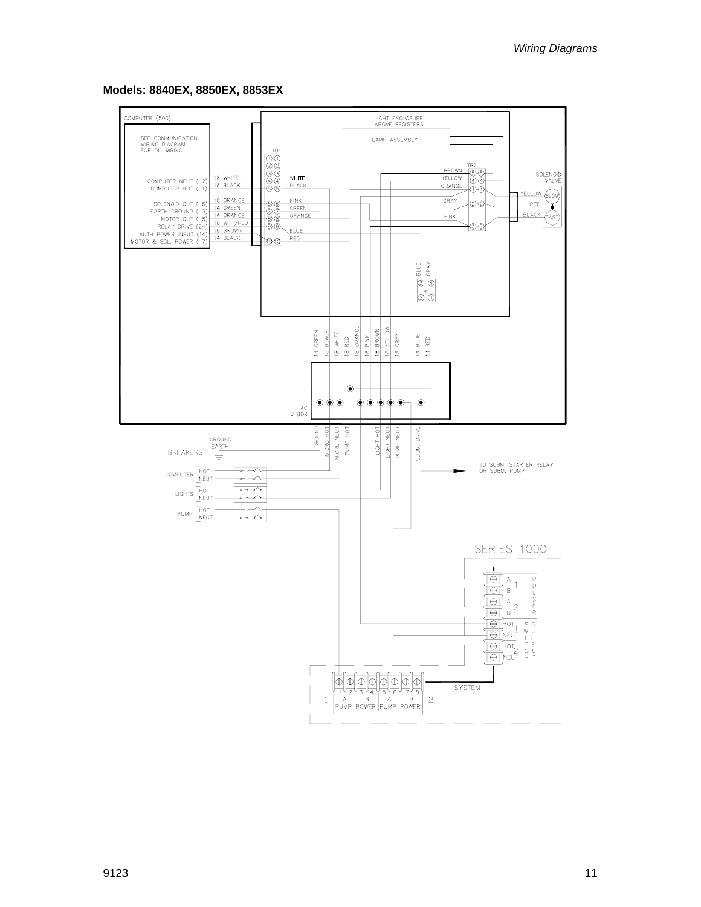#### **Models: 8840EX, 8850EX, 8853EX**

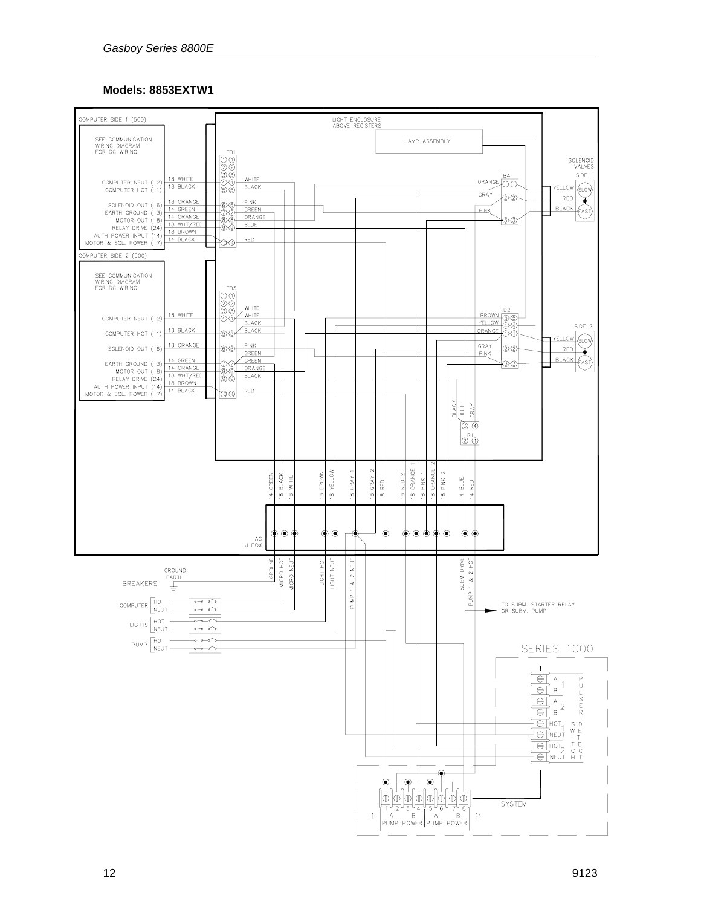#### Models: 8853EXTW1

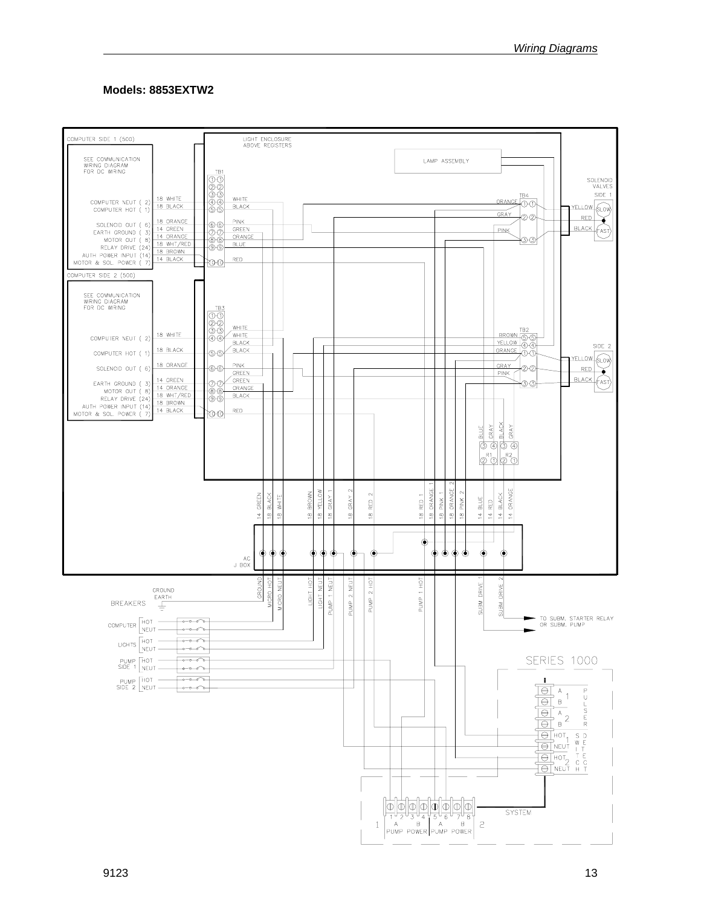## Models: 8853EXTW2

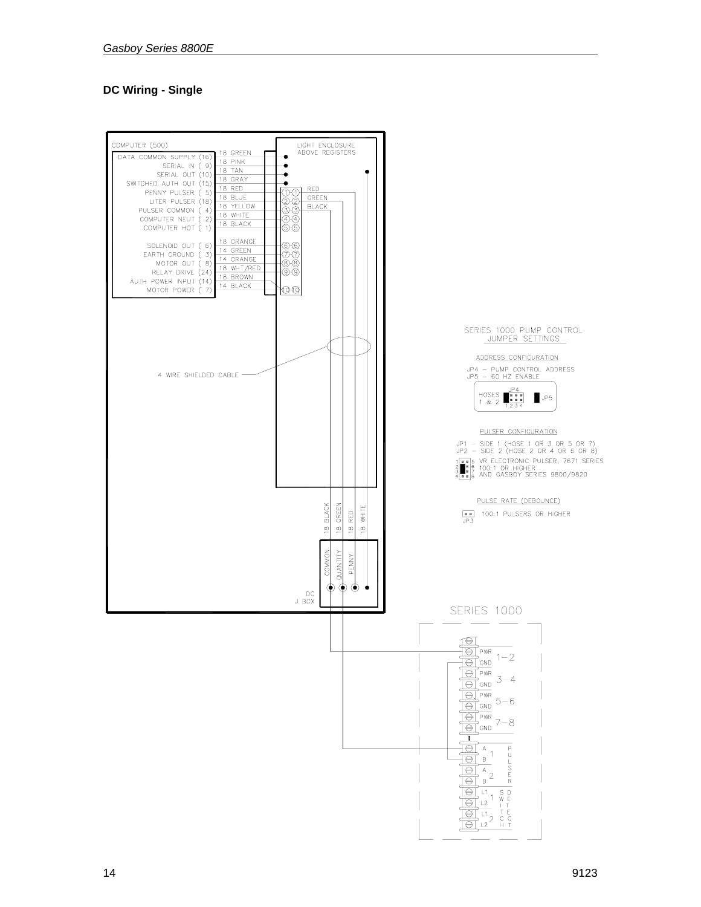## **DC Wiring - Single**

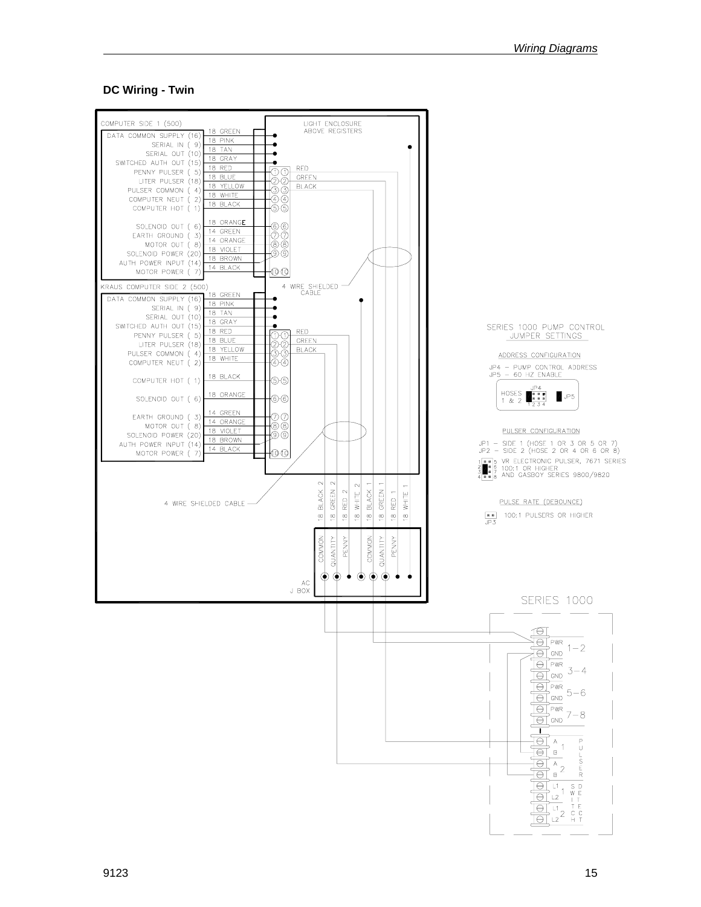#### **DC Wiring - Twin**